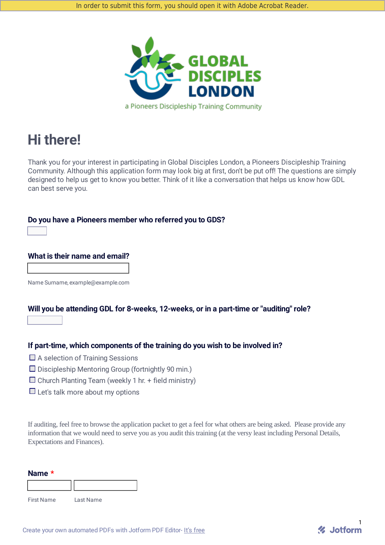

# **Hi there!**

Thank you for your interest in participating in Global Disciples London, a Pioneers Discipleship Training Community. Although this application form may look big at first, don't be put off! The questions are simply designed to help us get to know you better. Think of it like a conversation that helps us know how GDL can best serve you.

**Do you have a Pioneers member who referred you to GDS?**



### **What is their name and email?**

Name Surname, example@example.com

## **Will you be attending GDL for 8-weeks, 12-weeks, or in a part-time or "auditing" role?**  $\overline{\mathbf{v}}$

## **If part-time, which components of the training do you wish to be involved in?**

- $\Box$  A selection of Training Sessions
- $\square$  Discipleship Mentoring Group (fortnightly 90 min.)
- $\square$  Church Planting Team (weekly 1 hr. + field ministry)
- $\Box$  Let's talk more about my options

If auditing, feel free to browse the application packet to get a feel for what others are being asked. Please provide any information that we would need to serve you as you audit this training (at the versy least including Personal Details, Expectations and Finances).

| Name * |  |
|--------|--|
|        |  |

First Name Last Name

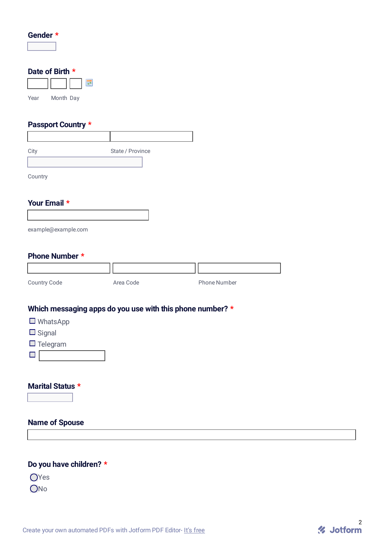| Gender |  |
|--------|--|
|        |  |

## **Date of Birth \***

| Year | Month Day |  |
|------|-----------|--|

## **Passport Country \***

| City    | State / Province |  |
|---------|------------------|--|
|         |                  |  |
| Country |                  |  |

## **Your Email \***

| example@example.com |  |
|---------------------|--|

## **Phone Number \***

| Country Code | Area Code | <b>Phone Number</b> |
|--------------|-----------|---------------------|

## **Which messaging apps do you use with this phone number? \***

- WhatsApp
- $\Box$  Signal
- $\Box$  Telegram
- $\blacksquare$

### **Marital Status \***

 $\overline{\mathbf{r}}$ 

## **Name of Spouse**

## **Do you have children? \***

OYes

ONo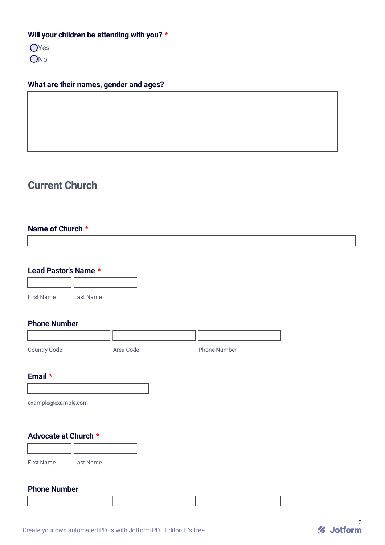## **Will your children be attending with you? \***

OYes ONo

## **What are their names, gender and ages?**

## **Current Church**

## **Name of Church \***

| Lead Pastor's Name *           |           |           |              |  |
|--------------------------------|-----------|-----------|--------------|--|
|                                |           |           |              |  |
| <b>First Name</b>              | Last Name |           |              |  |
| <b>Phone Number</b>            |           |           |              |  |
|                                |           |           |              |  |
| Country Code                   |           | Area Code | Phone Number |  |
| Email *<br>example@example.com |           |           |              |  |
| Advocate at Church *           |           |           |              |  |
|                                |           |           |              |  |
| <b>First Name</b>              | Last Name |           |              |  |
| <b>Phone Number</b>            |           |           |              |  |

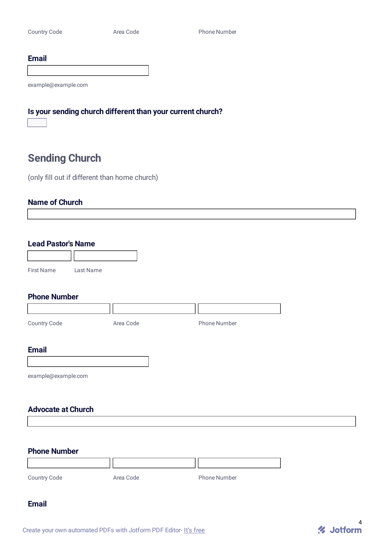#### **Email**

example@example.com

## **Is your sending church different than your current church?**  $\boxed{7}$

## **Sending Church**

(only fill out if different than home church)

#### **Name of Church**

**Lead Pastor's Name**

| <b>First Name</b> | Last Name |
|-------------------|-----------|

### **Phone Number**

| Country Code        | Area Code | <b>Phone Number</b> |
|---------------------|-----------|---------------------|
|                     |           |                     |
| <b>Email</b>        |           |                     |
|                     |           |                     |
| example@example.com |           |                     |

### **Advocate at Church**

### **Phone Number**

| Country Code | Area Code | <b>Phone Number</b> |
|--------------|-----------|---------------------|

#### **Email**

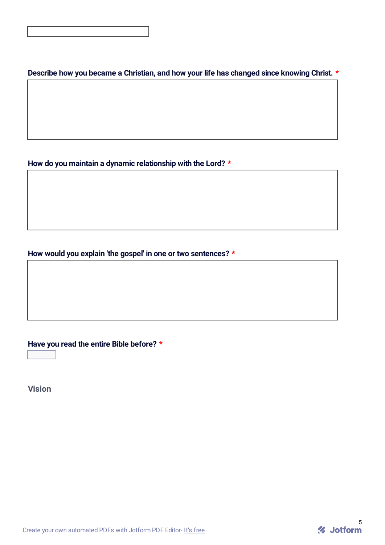**Describe how you became a Christian, and how your life has changed since knowing Christ. \***

**How do you maintain a dynamic relationship with the Lord? \***

**How would you explain 'the gospel' in one or two sentences? \***

**Have you read the entire Bible before? \***

 $\boxed{\blacksquare}$ 

**Vision**

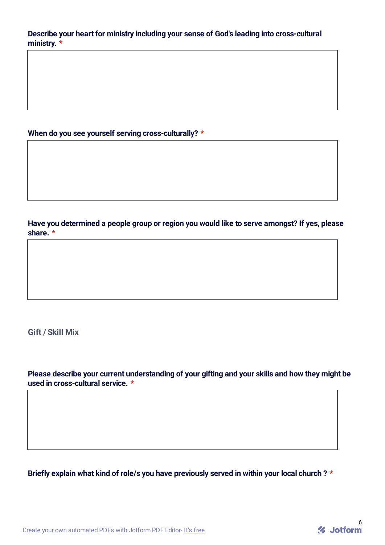**Describe your heart for ministry including your sense of God's leading into cross-cultural ministry. \***

## **When do you see yourself serving cross-culturally? \***

**Have you determined a people group or region you would like to serve amongst? If yes, please share. \***

**Gift / Skill Mix**

**Please describe your current understanding of your gifting and your skills and how they might be used in cross-cultural service. \***

**Briefly explain what kind of role/s you have previously served in within your local church ? \***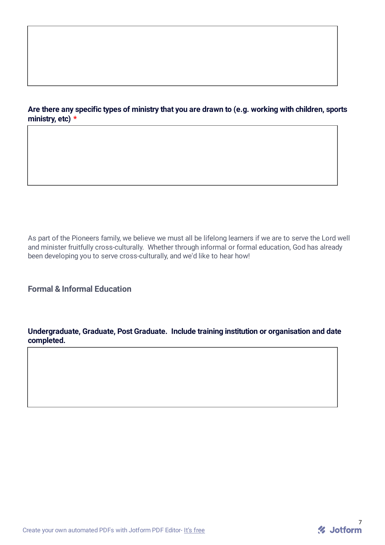## **Are there any specific types of ministry that you are drawn to (e.g. working with children, sports ministry, etc) \***

As part of the Pioneers family, we believe we must all be lifelong learners if we are to serve the Lord well and minister fruitfully cross-culturally. Whether through informal or formal education, God has already been developing you to serve cross-culturally, and we'd like to hear how!

**Formal & Informal Education**

**Undergraduate, Graduate, Post Graduate. Include training institution or organisation and date completed.**

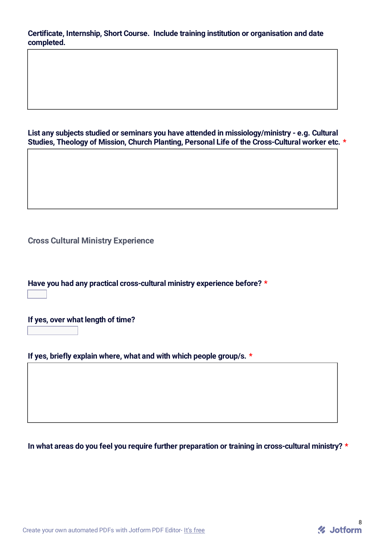**Certificate, Internship, Short Course. Include training institution or organisation and date completed.**

**List any subjects studied or seminars you have attended in missiology/ministry - e.g. Cultural Studies, Theology of Mission, Church Planting, Personal Life of the Cross-Cultural worker etc. \***

**Cross Cultural Ministry Experience**

**Have you had any practical cross-cultural ministry experience before? \***  $\overline{\mathbf{r}}$ 

**If yes, over what length of time?**

 $\overline{\mathbf{E}}$ 

**If yes, briefly explain where, what and with which people group/s. \***

**In what areas do you feel you require further preparation or training in cross-cultural ministry? \***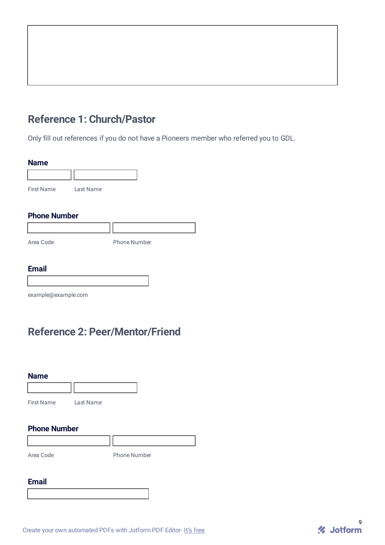## **Reference 1: Church/Pastor**

Only fill out references if you do not have a Pioneers member who referred you to GDL.

#### **Name**



#### **Phone Number**

| Area Code | <b>Phone Number</b> |
|-----------|---------------------|

## **Email**

example@example.com

## **Reference 2: Peer/Mentor/Friend**

| <b>Name</b>         |           |                     |  |
|---------------------|-----------|---------------------|--|
| <b>First Name</b>   | Last Name |                     |  |
| <b>Phone Number</b> |           |                     |  |
|                     |           |                     |  |
| Area Code           |           | <b>Phone Number</b> |  |

## **Email**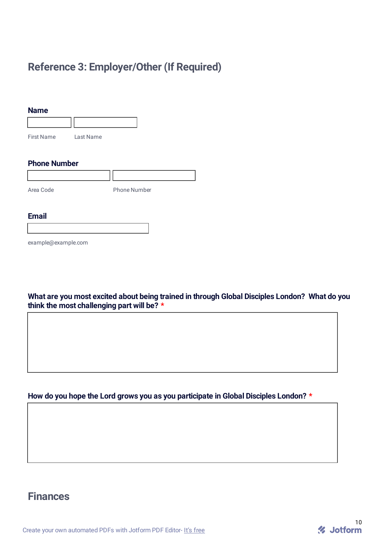## **Reference 3: Employer/Other (If Required)**

| <b>Name</b>       |           |
|-------------------|-----------|
|                   |           |
| <b>First Name</b> | Last Name |

## **Phone Number**

| Area Code | <b>Phone Number</b> |
|-----------|---------------------|
|           |                     |

#### **Email**

example@example.com

**What are you most excited about being trained in through Global Disciples London? What do you think the most challenging part will be? \***

## **How do you hope the Lord grows you as you participate in Global Disciples London? \***

## **Finances**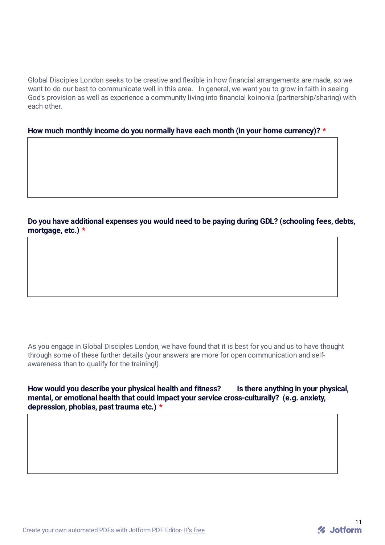Global Disciples London seeks to be creative and flexible in how financial arrangements are made, so we want to do our best to communicate well in this area. In general, we want you to grow in faith in seeing God's provision as well as experience a community living into financial koinonia (partnership/sharing) with each other.

**How much monthly income do you normally have each month (in your home currency)? \***

**Do you have additional expenses you would need to be paying during GDL? (schooling fees, debts, mortgage, etc.) \***

As you engage in Global Disciples London, we have found that it is best for you and us to have thought through some of these further details (your answers are more for open communication and selfawareness than to qualify for the training!)

**How would you describe your physical health and fitness? Is there anything in your physical, mental, or emotional health that could impact your service cross-culturally? (e.g. anxiety, depression, phobias, past trauma etc.) \***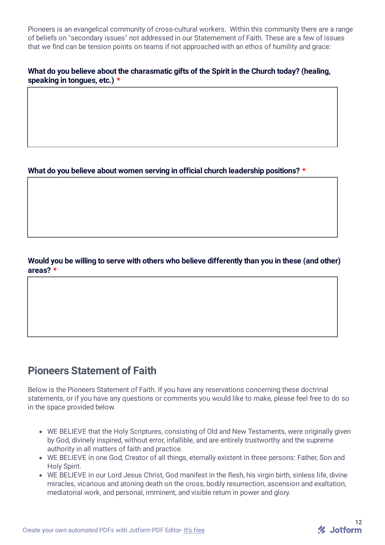Pioneers is an evangelical community of cross-cultural workers. Within this community there are a range of beliefs on "secondary issues" not addressed in our Statemement of Faith. These are a few of issues that we find can be tension points on teams if not approached with an ethos of humility and grace:

## **What do you believe about the charasmatic gifts of the Spirit in the Church today? (healing, speaking in tongues, etc.) \***

**What do you believe about women serving in official church leadership positions? \***

## **Would you be willing to serve with others who believe differently than you in these (and other) areas? \***

## **Pioneers Statement of Faith**

Below is the Pioneers Statement of Faith. If you have any reservations concerning these doctrinal statements, or if you have any questions or comments you would like to make, please feel free to do so in the space provided below.

- WE BELIEVE that the Holy Scriptures, consisting of Old and New Testaments, were originally given by God, divinely inspired, without error, infallible, and are entirely trustworthy and the supreme authority in all matters of faith and practice.
- WE BELIEVE in one God, Creator of all things, eternally existent in three persons: Father, Son and Holy Spirit.
- WE BELIEVE in our Lord Jesus Christ, God manifest in the flesh, his virgin birth, sinless life, divine miracles, vicarious and atoning death on the cross, bodily resurrection, ascension and exaltation, mediatorial work, and personal, imminent, and visible return in power and glory.